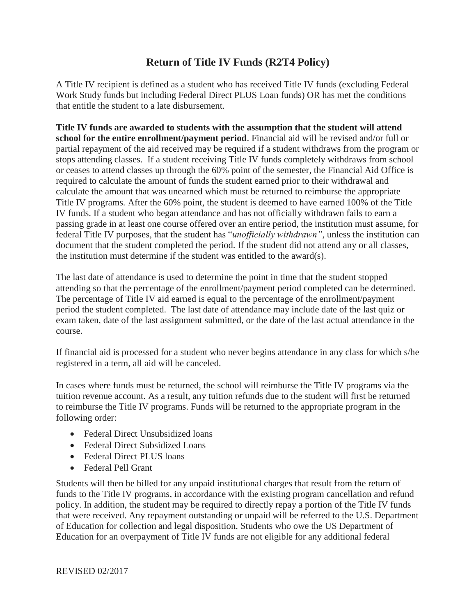## **Return of Title IV Funds (R2T4 Policy)**

A Title IV recipient is defined as a student who has received Title IV funds (excluding Federal Work Study funds but including Federal Direct PLUS Loan funds) OR has met the conditions that entitle the student to a late disbursement.

**Title IV funds are awarded to students with the assumption that the student will attend school for the entire enrollment/payment period**. Financial aid will be revised and/or full or partial repayment of the aid received may be required if a student withdraws from the program or stops attending classes. If a student receiving Title IV funds completely withdraws from school or ceases to attend classes up through the 60% point of the semester, the Financial Aid Office is required to calculate the amount of funds the student earned prior to their withdrawal and calculate the amount that was unearned which must be returned to reimburse the appropriate Title IV programs*.* After the 60% point, the student is deemed to have earned 100% of the Title IV funds. If a student who began attendance and has not officially withdrawn fails to earn a passing grade in at least one course offered over an entire period, the institution must assume, for federal Title IV purposes, that the student has "*unofficially withdrawn"*, unless the institution can document that the student completed the period. If the student did not attend any or all classes, the institution must determine if the student was entitled to the award(s).

The last date of attendance is used to determine the point in time that the student stopped attending so that the percentage of the enrollment/payment period completed can be determined. The percentage of Title IV aid earned is equal to the percentage of the enrollment/payment period the student completed. The last date of attendance may include date of the last quiz or exam taken, date of the last assignment submitted, or the date of the last actual attendance in the course.

If financial aid is processed for a student who never begins attendance in any class for which s/he registered in a term, all aid will be canceled.

In cases where funds must be returned, the school will reimburse the Title IV programs via the tuition revenue account. As a result, any tuition refunds due to the student will first be returned to reimburse the Title IV programs. Funds will be returned to the appropriate program in the following order:

- Federal Direct Unsubsidized loans
- Federal Direct Subsidized Loans
- Federal Direct PLUS loans
- Federal Pell Grant

Students will then be billed for any unpaid institutional charges that result from the return of funds to the Title IV programs, in accordance with the existing program cancellation and refund policy. In addition, the student may be required to directly repay a portion of the Title IV funds that were received. Any repayment outstanding or unpaid will be referred to the U.S. Department of Education for collection and legal disposition. Students who owe the US Department of Education for an overpayment of Title IV funds are not eligible for any additional federal